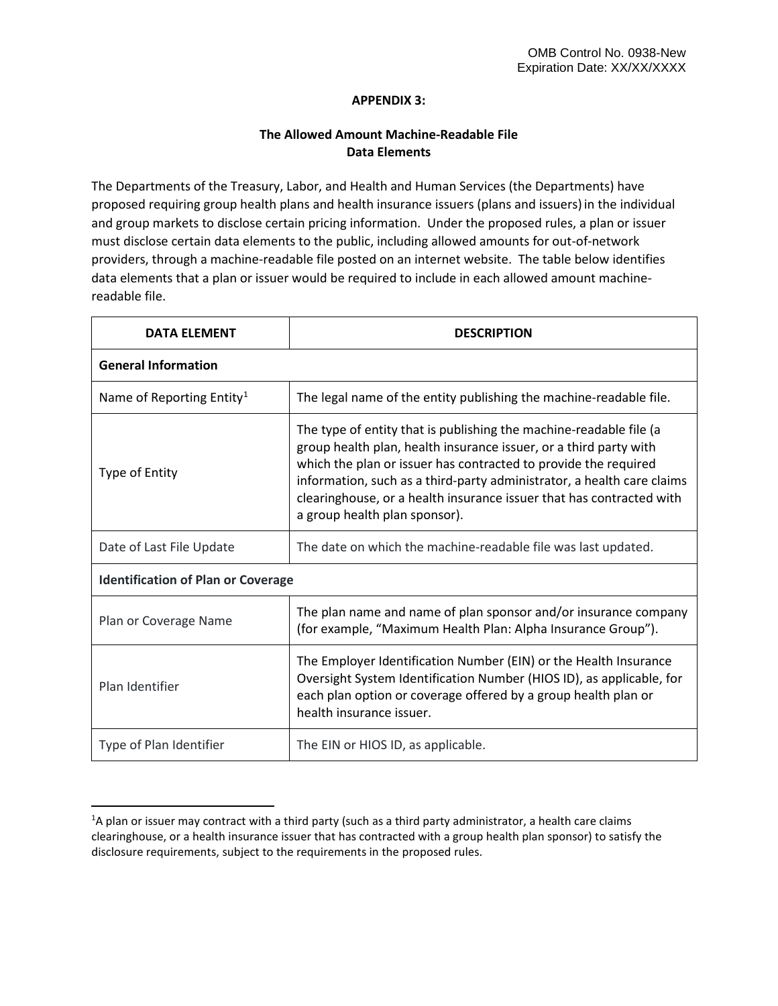## **APPENDIX 3:**

## **The Allowed Amount Machine-Readable File Data Elements**

The Departments of the Treasury, Labor, and Health and Human Services (the Departments) have proposed requiring group health plans and health insurance issuers (plans and issuers)in the individual and group markets to disclose certain pricing information. Under the proposed rules, a plan or issuer must disclose certain data elements to the public, including allowed amounts for out-of-network providers, through a machine-readable file posted on an internet website. The table below identifies data elements that a plan or issuer would be required to include in each allowed amount machinereadable file.

| <b>DATA ELEMENT</b>                       | <b>DESCRIPTION</b>                                                                                                                                                                                                                                                                                                                                                                            |  |
|-------------------------------------------|-----------------------------------------------------------------------------------------------------------------------------------------------------------------------------------------------------------------------------------------------------------------------------------------------------------------------------------------------------------------------------------------------|--|
| <b>General Information</b>                |                                                                                                                                                                                                                                                                                                                                                                                               |  |
| Name of Reporting Entity <sup>1</sup>     | The legal name of the entity publishing the machine-readable file.                                                                                                                                                                                                                                                                                                                            |  |
| Type of Entity                            | The type of entity that is publishing the machine-readable file (a<br>group health plan, health insurance issuer, or a third party with<br>which the plan or issuer has contracted to provide the required<br>information, such as a third-party administrator, a health care claims<br>clearinghouse, or a health insurance issuer that has contracted with<br>a group health plan sponsor). |  |
| Date of Last File Update                  | The date on which the machine-readable file was last updated.                                                                                                                                                                                                                                                                                                                                 |  |
| <b>Identification of Plan or Coverage</b> |                                                                                                                                                                                                                                                                                                                                                                                               |  |
| Plan or Coverage Name                     | The plan name and name of plan sponsor and/or insurance company<br>(for example, "Maximum Health Plan: Alpha Insurance Group").                                                                                                                                                                                                                                                               |  |
| Plan Identifier                           | The Employer Identification Number (EIN) or the Health Insurance<br>Oversight System Identification Number (HIOS ID), as applicable, for<br>each plan option or coverage offered by a group health plan or<br>health insurance issuer.                                                                                                                                                        |  |
| Type of Plan Identifier                   | The EIN or HIOS ID, as applicable.                                                                                                                                                                                                                                                                                                                                                            |  |

l

<span id="page-0-0"></span><sup>&</sup>lt;sup>1</sup>A plan or issuer may contract with a third party (such as a third party administrator, a health care claims clearinghouse, or a health insurance issuer that has contracted with a group health plan sponsor) to satisfy the disclosure requirements, subject to the requirements in the proposed rules.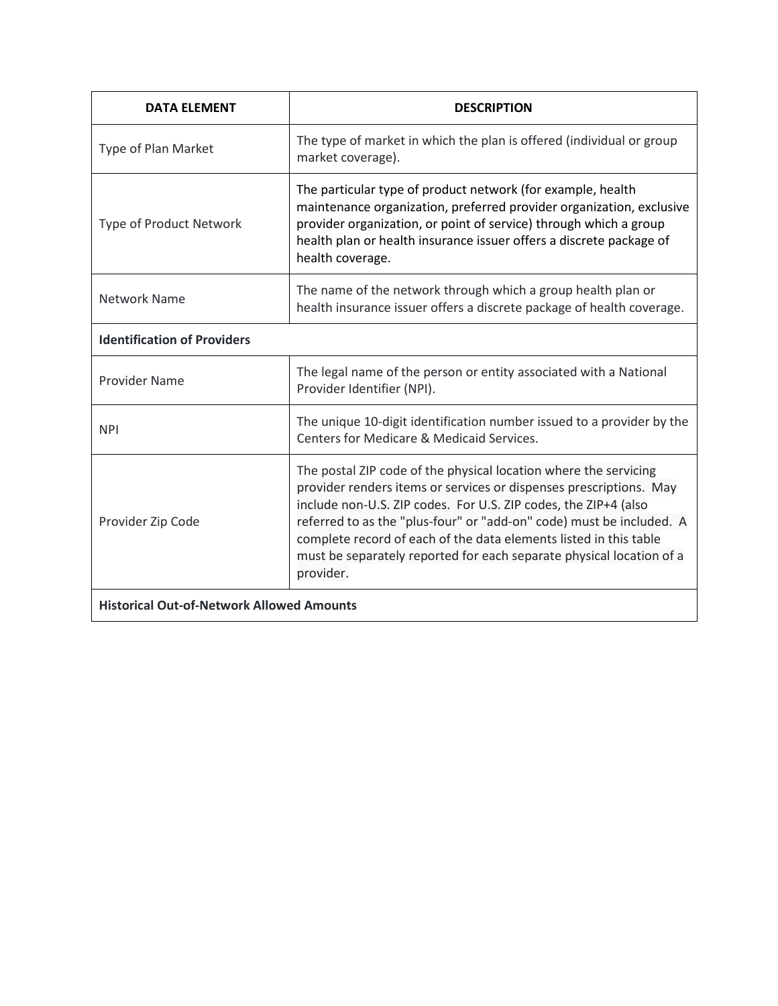| <b>DATA ELEMENT</b>                              | <b>DESCRIPTION</b>                                                                                                                                                                                                                                                                                                                                                                                                                          |  |
|--------------------------------------------------|---------------------------------------------------------------------------------------------------------------------------------------------------------------------------------------------------------------------------------------------------------------------------------------------------------------------------------------------------------------------------------------------------------------------------------------------|--|
| Type of Plan Market                              | The type of market in which the plan is offered (individual or group<br>market coverage).                                                                                                                                                                                                                                                                                                                                                   |  |
| Type of Product Network                          | The particular type of product network (for example, health<br>maintenance organization, preferred provider organization, exclusive<br>provider organization, or point of service) through which a group<br>health plan or health insurance issuer offers a discrete package of<br>health coverage.                                                                                                                                         |  |
| <b>Network Name</b>                              | The name of the network through which a group health plan or<br>health insurance issuer offers a discrete package of health coverage.                                                                                                                                                                                                                                                                                                       |  |
| <b>Identification of Providers</b>               |                                                                                                                                                                                                                                                                                                                                                                                                                                             |  |
| <b>Provider Name</b>                             | The legal name of the person or entity associated with a National<br>Provider Identifier (NPI).                                                                                                                                                                                                                                                                                                                                             |  |
| <b>NPI</b>                                       | The unique 10-digit identification number issued to a provider by the<br>Centers for Medicare & Medicaid Services.                                                                                                                                                                                                                                                                                                                          |  |
| Provider Zip Code                                | The postal ZIP code of the physical location where the servicing<br>provider renders items or services or dispenses prescriptions. May<br>include non-U.S. ZIP codes. For U.S. ZIP codes, the ZIP+4 (also<br>referred to as the "plus-four" or "add-on" code) must be included. A<br>complete record of each of the data elements listed in this table<br>must be separately reported for each separate physical location of a<br>provider. |  |
| <b>Historical Out-of-Network Allowed Amounts</b> |                                                                                                                                                                                                                                                                                                                                                                                                                                             |  |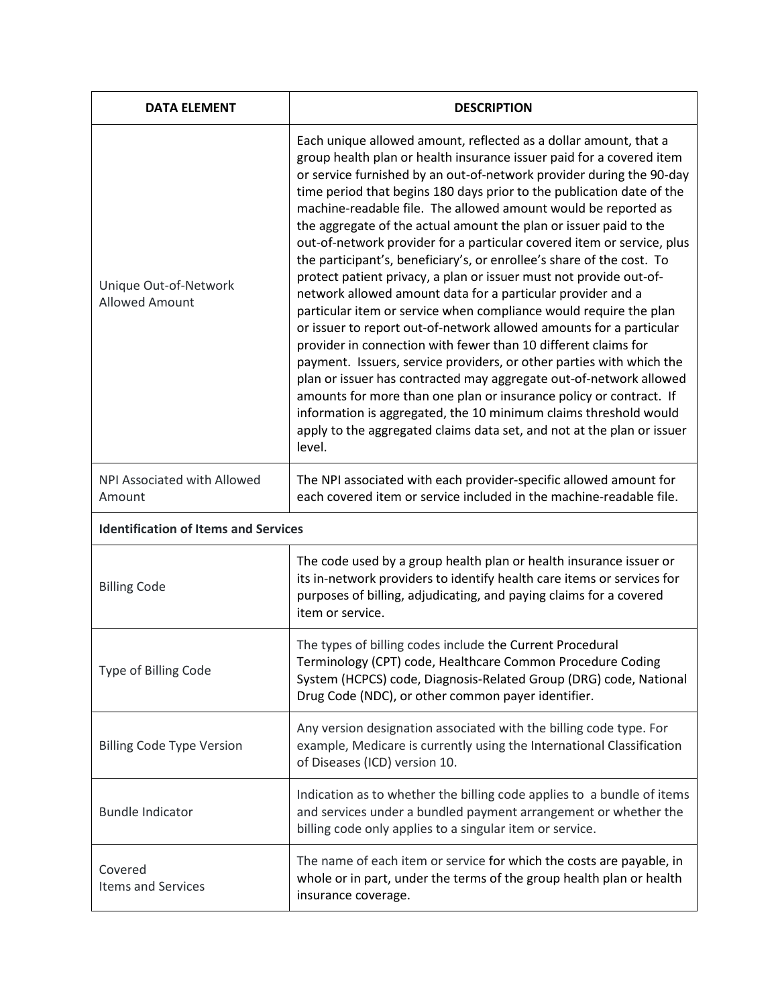| <b>DATA ELEMENT</b>                         | <b>DESCRIPTION</b>                                                                                                                                                                                                                                                                                                                                                                                                                                                                                                                                                                                                                                                                                                                                                                                                                                                                                                                                                                                                                                                                                                                                                                                                                                                                                                 |  |
|---------------------------------------------|--------------------------------------------------------------------------------------------------------------------------------------------------------------------------------------------------------------------------------------------------------------------------------------------------------------------------------------------------------------------------------------------------------------------------------------------------------------------------------------------------------------------------------------------------------------------------------------------------------------------------------------------------------------------------------------------------------------------------------------------------------------------------------------------------------------------------------------------------------------------------------------------------------------------------------------------------------------------------------------------------------------------------------------------------------------------------------------------------------------------------------------------------------------------------------------------------------------------------------------------------------------------------------------------------------------------|--|
| Unique Out-of-Network<br>Allowed Amount     | Each unique allowed amount, reflected as a dollar amount, that a<br>group health plan or health insurance issuer paid for a covered item<br>or service furnished by an out-of-network provider during the 90-day<br>time period that begins 180 days prior to the publication date of the<br>machine-readable file. The allowed amount would be reported as<br>the aggregate of the actual amount the plan or issuer paid to the<br>out-of-network provider for a particular covered item or service, plus<br>the participant's, beneficiary's, or enrollee's share of the cost. To<br>protect patient privacy, a plan or issuer must not provide out-of-<br>network allowed amount data for a particular provider and a<br>particular item or service when compliance would require the plan<br>or issuer to report out-of-network allowed amounts for a particular<br>provider in connection with fewer than 10 different claims for<br>payment. Issuers, service providers, or other parties with which the<br>plan or issuer has contracted may aggregate out-of-network allowed<br>amounts for more than one plan or insurance policy or contract. If<br>information is aggregated, the 10 minimum claims threshold would<br>apply to the aggregated claims data set, and not at the plan or issuer<br>level. |  |
| NPI Associated with Allowed<br>Amount       | The NPI associated with each provider-specific allowed amount for<br>each covered item or service included in the machine-readable file.                                                                                                                                                                                                                                                                                                                                                                                                                                                                                                                                                                                                                                                                                                                                                                                                                                                                                                                                                                                                                                                                                                                                                                           |  |
| <b>Identification of Items and Services</b> |                                                                                                                                                                                                                                                                                                                                                                                                                                                                                                                                                                                                                                                                                                                                                                                                                                                                                                                                                                                                                                                                                                                                                                                                                                                                                                                    |  |
| <b>Billing Code</b>                         | The code used by a group health plan or health insurance issuer or<br>its in-network providers to identify health care items or services for<br>purposes of billing, adjudicating, and paying claims for a covered<br>item or service.                                                                                                                                                                                                                                                                                                                                                                                                                                                                                                                                                                                                                                                                                                                                                                                                                                                                                                                                                                                                                                                                             |  |
| Type of Billing Code                        | The types of billing codes include the Current Procedural<br>Terminology (CPT) code, Healthcare Common Procedure Coding<br>System (HCPCS) code, Diagnosis-Related Group (DRG) code, National<br>Drug Code (NDC), or other common payer identifier.                                                                                                                                                                                                                                                                                                                                                                                                                                                                                                                                                                                                                                                                                                                                                                                                                                                                                                                                                                                                                                                                 |  |
| <b>Billing Code Type Version</b>            | Any version designation associated with the billing code type. For<br>example, Medicare is currently using the International Classification<br>of Diseases (ICD) version 10.                                                                                                                                                                                                                                                                                                                                                                                                                                                                                                                                                                                                                                                                                                                                                                                                                                                                                                                                                                                                                                                                                                                                       |  |
| <b>Bundle Indicator</b>                     | Indication as to whether the billing code applies to a bundle of items<br>and services under a bundled payment arrangement or whether the<br>billing code only applies to a singular item or service.                                                                                                                                                                                                                                                                                                                                                                                                                                                                                                                                                                                                                                                                                                                                                                                                                                                                                                                                                                                                                                                                                                              |  |
| Covered<br>Items and Services               | The name of each item or service for which the costs are payable, in<br>whole or in part, under the terms of the group health plan or health<br>insurance coverage.                                                                                                                                                                                                                                                                                                                                                                                                                                                                                                                                                                                                                                                                                                                                                                                                                                                                                                                                                                                                                                                                                                                                                |  |